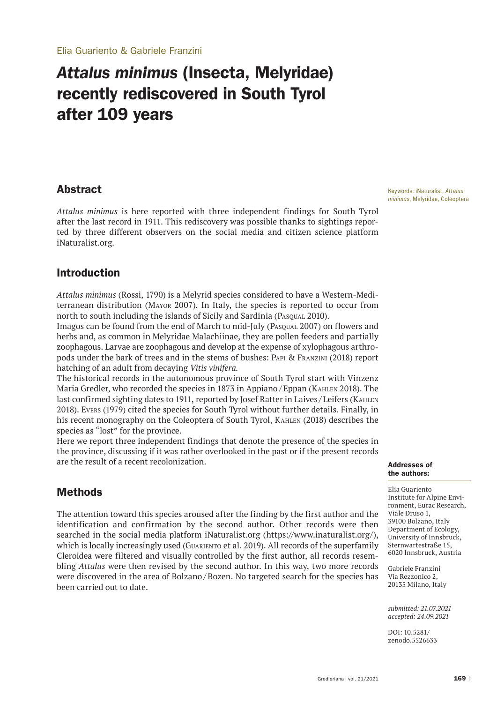# *Attalus minimus* (Insecta, Melyridae) recently rediscovered in South Tyrol after 109 years

### Abstract

*Attalus minimus* is here reported with three independent findings for South Tyrol after the last record in 1911. This rediscovery was possible thanks to sightings reported by three different observers on the social media and citizen science platform iNaturalist.org.

## Introduction

*Attalus minimus* (Rossi, 1790) is a Melyrid species considered to have a Western-Mediterranean distribution (Mayor 2007). In Italy, the species is reported to occur from north to south including the islands of Sicily and Sardinia (PASOUAL 2010).

Imagos can be found from the end of March to mid-July (Pasqual 2007) on flowers and herbs and, as common in Melyridae Malachiinae, they are pollen feeders and partially zoophagous. Larvae are zoophagous and develop at the expense of xylophagous arthropods under the bark of trees and in the stems of bushes: Papi & Franzini (2018) report hatching of an adult from decaying *Vitis vinifera.*

The historical records in the autonomous province of South Tyrol start with Vinzenz Maria Gredler, who recorded the species in 1873 in Appiano / Eppan (Kahlen 2018). The last confirmed sighting dates to 1911, reported by Josef Ratter in Laives / Leifers (Kahlen 2018). Evers (1979) cited the species for South Tyrol without further details. Finally, in his recent monography on the Coleoptera of South Tyrol, Kahlen (2018) describes the species as "lost" for the province.

Here we report three independent findings that denote the presence of the species in the province, discussing if it was rather overlooked in the past or if the present records are the result of a recent recolonization.

# Methods

The attention toward this species aroused after the finding by the first author and the identification and confirmation by the second author. Other records were then searched in the social media platform iNaturalist.org (https://www.inaturalist.org/), which is locally increasingly used (Guariento et al. 2019). All records of the superfamily Cleroidea were filtered and visually controlled by the first author, all records resembling *Attalus* were then revised by the second author. In this way, two more records were discovered in the area of Bolzano / Bozen. No targeted search for the species has been carried out to date.

Keywords: iNaturalist, *Attalus minimus*, Melyridae, Coleoptera

#### Addresses of the authors:

Elia Guariento Institute for Alpine Environment, Eurac Research, Viale Druso 1, 39100 Bolzano, Italy Department of Ecology, University of Innsbruck, Sternwartestraße 15, 6020 Innsbruck, Austria

Gabriele Franzini Via Rezzonico 2, 20135 Milano, Italy

*submitted: 21.07.2021 accepted: 24.09.2021*

DOI: 10.5281/ zenodo.5526633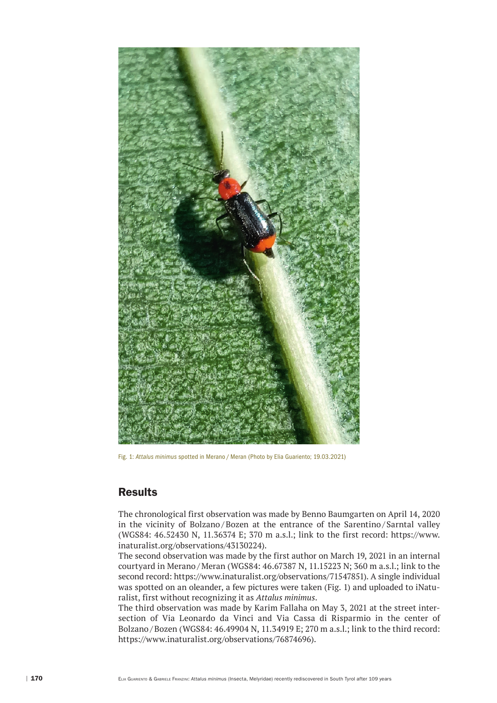

Fig. 1: *Attalus minimus* spotted in Merano / Meran (Photo by Elia Guariento; 19.03.2021)

# **Results**

The chronological first observation was made by Benno Baumgarten on April 14, 2020 in the vicinity of Bolzano/Bozen at the entrance of the Sarentino/Sarntal valley (WGS84: 46.52430 N, 11.36374 E; 370 m a.s.l.; link to the first record: https://www. inaturalist.org/observations/43130224).

The second observation was made by the first author on March 19, 2021 in an internal courtyard in Merano / Meran (WGS84: 46.67387 N, 11.15223 N; 360 m a.s.l.; link to the second record: https://www.inaturalist.org/observations/71547851). A single individual was spotted on an oleander, a few pictures were taken (Fig. 1) and uploaded to iNaturalist, first without recognizing it as *Attalus minimus*.

The third observation was made by Karim Fallaha on May 3, 2021 at the street intersection of Via Leonardo da Vinci and Via Cassa di Risparmio in the center of Bolzano / Bozen (WGS84: 46.49904 N, 11.34919 E; 270 m a.s.l.; link to the third record: https://www.inaturalist.org/observations/76874696).